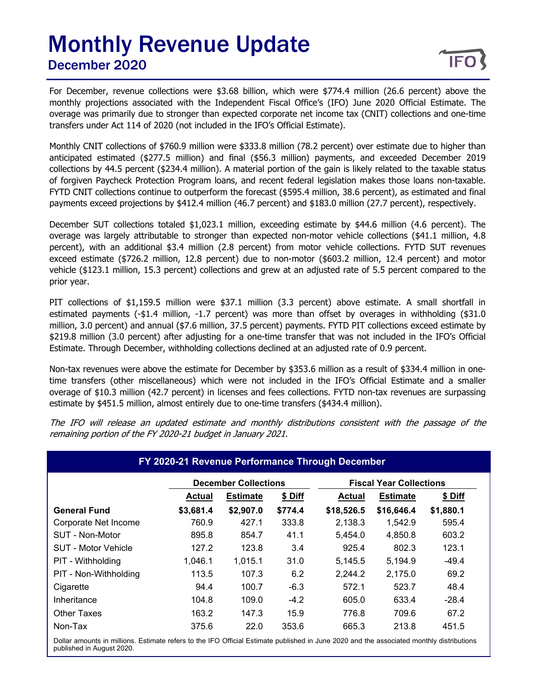## Monthly Revenue Update December 2020

For December, revenue collections were \$3.68 billion, which were \$774.4 million (26.6 percent) above the monthly projections associated with the Independent Fiscal Office's (IFO) June 2020 Official Estimate. The overage was primarily due to stronger than expected corporate net income tax (CNIT) collections and one-time transfers under Act 114 of 2020 (not included in the IFO's Official Estimate).

Monthly CNIT collections of \$760.9 million were \$333.8 million (78.2 percent) over estimate due to higher than anticipated estimated (\$277.5 million) and final (\$56.3 million) payments, and exceeded December 2019 collections by 44.5 percent (\$234.4 million). A material portion of the gain is likely related to the taxable status of forgiven Paycheck Protection Program loans, and recent federal legislation makes those loans non-taxable. FYTD CNIT collections continue to outperform the forecast (\$595.4 million, 38.6 percent), as estimated and final payments exceed projections by \$412.4 million (46.7 percent) and \$183.0 million (27.7 percent), respectively.

December SUT collections totaled \$1,023.1 million, exceeding estimate by \$44.6 million (4.6 percent). The overage was largely attributable to stronger than expected non-motor vehicle collections (\$41.1 million, 4.8 percent), with an additional \$3.4 million (2.8 percent) from motor vehicle collections. FYTD SUT revenues exceed estimate (\$726.2 million, 12.8 percent) due to non-motor (\$603.2 million, 12.4 percent) and motor vehicle (\$123.1 million, 15.3 percent) collections and grew at an adjusted rate of 5.5 percent compared to the prior year.

PIT collections of \$1,159.5 million were \$37.1 million (3.3 percent) above estimate. A small shortfall in estimated payments (-\$1.4 million, -1.7 percent) was more than offset by overages in withholding (\$31.0 million, 3.0 percent) and annual (\$7.6 million, 37.5 percent) payments. FYTD PIT collections exceed estimate by \$219.8 million (3.0 percent) after adjusting for a one-time transfer that was not included in the IFO's Official Estimate. Through December, withholding collections declined at an adjusted rate of 0.9 percent.

Non-tax revenues were above the estimate for December by \$353.6 million as a result of \$334.4 million in onetime transfers (other miscellaneous) which were not included in the IFO's Official Estimate and a smaller overage of \$10.3 million (42.7 percent) in licenses and fees collections. FYTD non-tax revenues are surpassing estimate by \$451.5 million, almost entirely due to one-time transfers (\$434.4 million).

The IFO will release an updated estimate and monthly distributions consistent with the passage of the remaining portion of the FY 2020-21 budget in January 2021.

|                            |               | <b>December Collections</b> |         | FY 2020-21 Revenue Performance Through December<br><b>Fiscal Year Collections</b> |                 |           |  |
|----------------------------|---------------|-----------------------------|---------|-----------------------------------------------------------------------------------|-----------------|-----------|--|
|                            | <b>Actual</b> | <b>Estimate</b>             | \$ Diff | <b>Actual</b>                                                                     | <b>Estimate</b> | \$ Diff   |  |
| <b>General Fund</b>        | \$3,681.4     | \$2,907.0                   | \$774.4 | \$18,526.5                                                                        | \$16,646.4      | \$1,880.1 |  |
| Corporate Net Income       | 760.9         | 427.1                       | 333.8   | 2,138.3                                                                           | 1,542.9         | 595.4     |  |
| SUT - Non-Motor            | 895.8         | 854.7                       | 41.1    | 5,454.0                                                                           | 4,850.8         | 603.2     |  |
| <b>SUT - Motor Vehicle</b> | 127.2         | 123.8                       | 3.4     | 925.4                                                                             | 802.3           | 123.1     |  |
| PIT - Withholding          | 1,046.1       | 1,015.1                     | 31.0    | 5,145.5                                                                           | 5,194.9         | $-49.4$   |  |
| PIT - Non-Withholding      | 113.5         | 107.3                       | 6.2     | 2,244.2                                                                           | 2,175.0         | 69.2      |  |
| Cigarette                  | 94.4          | 100.7                       | $-6.3$  | 572.1                                                                             | 523.7           | 48.4      |  |
| Inheritance                | 104.8         | 109.0                       | $-4.2$  | 605.0                                                                             | 633.4           | $-28.4$   |  |
| <b>Other Taxes</b>         | 163.2         | 147.3                       | 15.9    | 776.8                                                                             | 709.6           | 67.2      |  |
| Non-Tax                    | 375.6         | 22.0                        | 353.6   | 665.3                                                                             | 213.8           | 451.5     |  |

Dollar amounts in millions. Estimate refers to the IFO Official Estimate published in June 2020 and the associated monthly distributions published in August 2020.